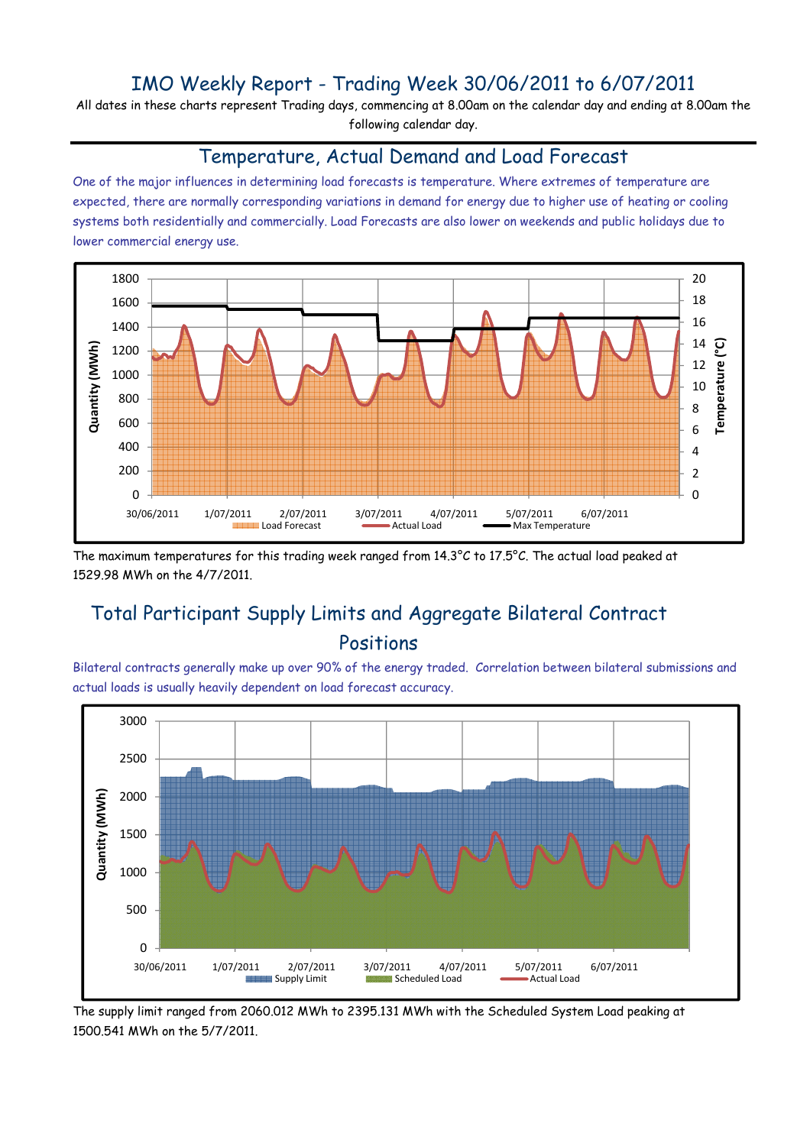## IMO Weekly Report - Trading Week 30/06/2011 to 6/07/2011

All dates in these charts represent Trading days, commencing at 8.00am on the calendar day and ending at 8.00am the following calendar day.

### Temperature, Actual Demand and Load Forecast

One of the major influences in determining load forecasts is temperature. Where extremes of temperature are expected, there are normally corresponding variations in demand for energy due to higher use of heating or cooling systems both residentially and commercially. Load Forecasts are also lower on weekends and public holidays due to lower commercial energy use.



The maximum temperatures for this trading week ranged from 14.3°C to 17.5°C. The actual load peaked at 1529.98 MWh on the 4/7/2011.

# Total Participant Supply Limits and Aggregate Bilateral Contract Positions

Bilateral contracts generally make up over 90% of the energy traded. Correlation between bilateral submissions and actual loads is usually heavily dependent on load forecast accuracy.



The supply limit ranged from 2060.012 MWh to 2395.131 MWh with the Scheduled System Load peaking at 1500.541 MWh on the 5/7/2011.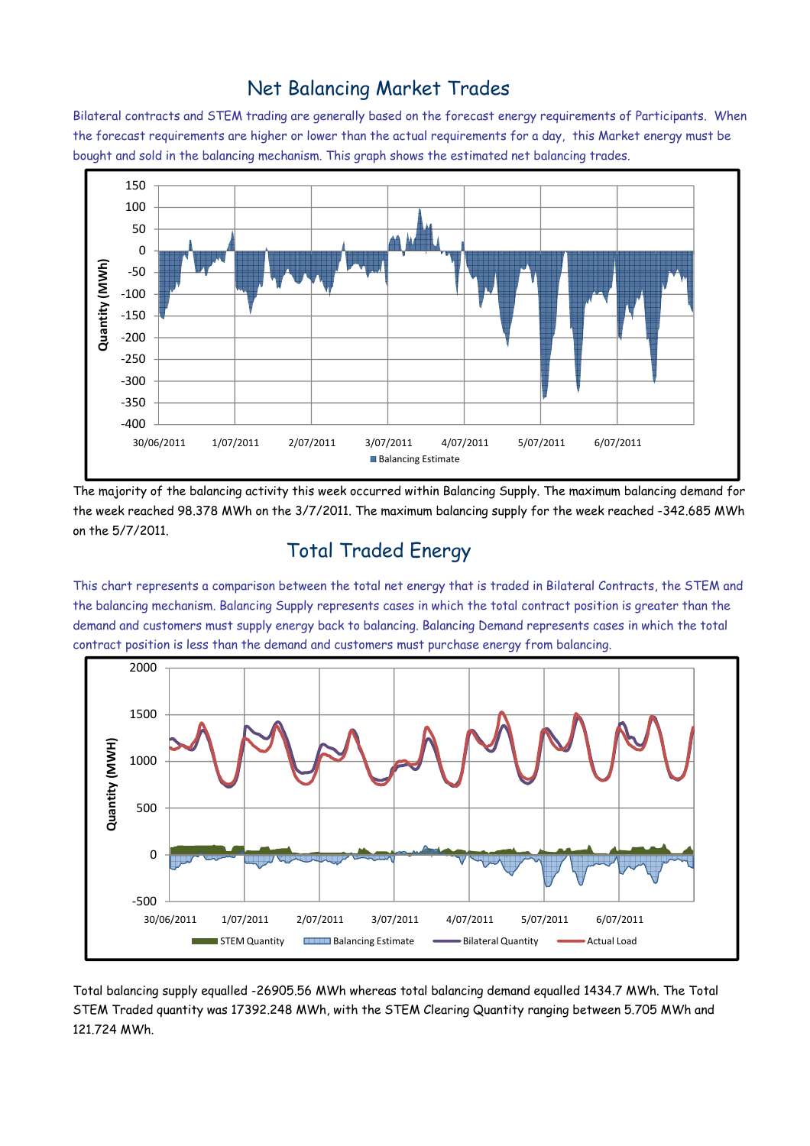### Net Balancing Market Trades

Bilateral contracts and STEM trading are generally based on the forecast energy requirements of Participants. When the forecast requirements are higher or lower than the actual requirements for a day, this Market energy must be bought and sold in the balancing mechanism. This graph shows the estimated net balancing trades.



The majority of the balancing activity this week occurred within Balancing Supply. The maximum balancing demand for the week reached 98.378 MWh on the 3/7/2011. The maximum balancing supply for the week reached -342.685 MWh on the 5/7/2011.

# Total Traded Energy

This chart represents a comparison between the total net energy that is traded in Bilateral Contracts, the STEM and the balancing mechanism. Balancing Supply represents cases in which the total contract position is greater than the demand and customers must supply energy back to balancing. Balancing Demand represents cases in which the total contract position is less than the demand and customers must purchase energy from balancing.



Total balancing supply equalled -26905.56 MWh whereas total balancing demand equalled 1434.7 MWh. The Total STEM Traded quantity was 17392.248 MWh, with the STEM Clearing Quantity ranging between 5.705 MWh and 121.724 MWh.